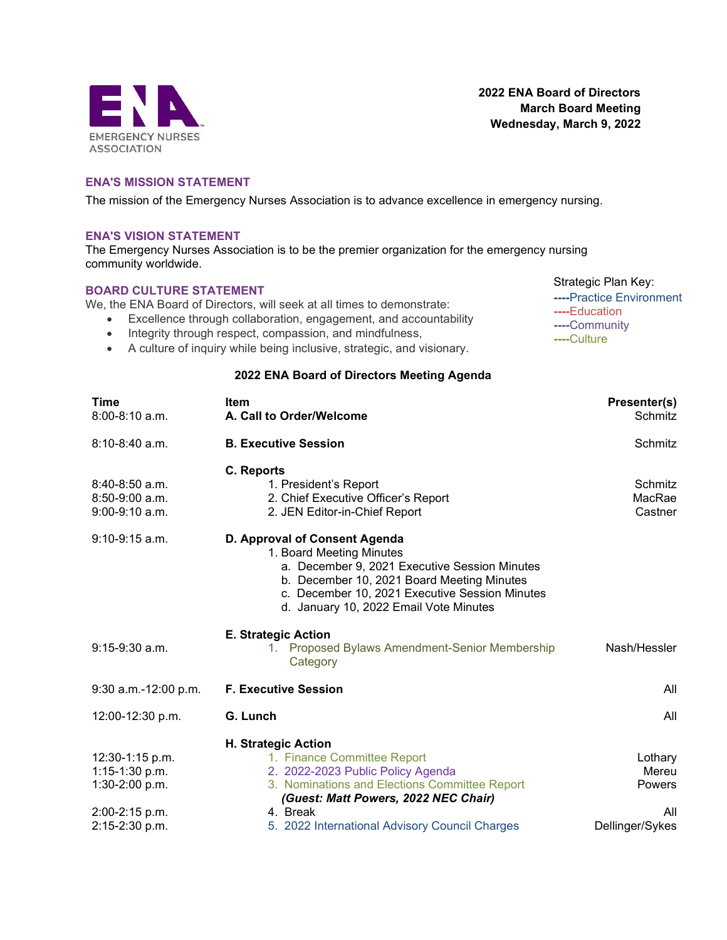

2022 ENA Board of Directors March Board Meeting Wednesday, March 9, 2022

> Strategic Plan Key: ----Practice Environment

----Education ----Community ----Culture

## ENA'S MISSION STATEMENT

The mission of the Emergency Nurses Association is to advance excellence in emergency nursing.

## ENA'S VISION STATEMENT

The Emergency Nurses Association is to be the premier organization for the emergency nursing community worldwide.

## BOARD CULTURE STATEMENT

We, the ENA Board of Directors, will seek at all times to demonstrate:

- Excellence through collaboration, engagement, and accountability
- Integrity through respect, compassion, and mindfulness,
- A culture of inquiry while being inclusive, strategic, and visionary.

## 2022 ENA Board of Directors Meeting Agenda

| <b>Time</b><br>$8:00 - 8:10$ a.m.                        | <b>Item</b><br>A. Call to Order/Welcome                                                                                                                                                                                                              | Presenter(s)<br>Schmitz      |
|----------------------------------------------------------|------------------------------------------------------------------------------------------------------------------------------------------------------------------------------------------------------------------------------------------------------|------------------------------|
| $8:10 - 8:40$ a.m.                                       | <b>B. Executive Session</b>                                                                                                                                                                                                                          | Schmitz                      |
| $8:40-8:50$ a.m.<br>$8:50-9:00$ a.m.<br>$9:00-9:10$ a.m. | C. Reports<br>1. President's Report<br>2. Chief Executive Officer's Report<br>2. JEN Editor-in-Chief Report                                                                                                                                          | Schmitz<br>MacRae<br>Castner |
| $9:10-9:15$ a.m.                                         | D. Approval of Consent Agenda<br>1. Board Meeting Minutes<br>a. December 9, 2021 Executive Session Minutes<br>b. December 10, 2021 Board Meeting Minutes<br>c. December 10, 2021 Executive Session Minutes<br>d. January 10, 2022 Email Vote Minutes |                              |
| $9:15-9:30$ a.m.                                         | <b>E. Strategic Action</b><br>1. Proposed Bylaws Amendment-Senior Membership<br>Category                                                                                                                                                             | Nash/Hessler                 |
| $9:30$ a.m.-12:00 p.m.                                   | <b>F. Executive Session</b>                                                                                                                                                                                                                          | All                          |
| 12:00-12:30 p.m.                                         | G. Lunch                                                                                                                                                                                                                                             | All                          |
|                                                          | <b>H. Strategic Action</b>                                                                                                                                                                                                                           |                              |
| 12:30-1:15 p.m.                                          | 1. Finance Committee Report                                                                                                                                                                                                                          | Lothary                      |
| $1:15-1:30$ p.m.                                         | 2. 2022-2023 Public Policy Agenda                                                                                                                                                                                                                    | Mereu                        |
| $1:30-2:00 p.m.$                                         | 3. Nominations and Elections Committee Report                                                                                                                                                                                                        | <b>Powers</b>                |
|                                                          | (Guest: Matt Powers, 2022 NEC Chair)                                                                                                                                                                                                                 |                              |
| 2:00-2:15 p.m.                                           | 4. Break                                                                                                                                                                                                                                             | All                          |
| 2:15-2:30 p.m.                                           | 5. 2022 International Advisory Council Charges                                                                                                                                                                                                       | Dellinger/Sykes              |